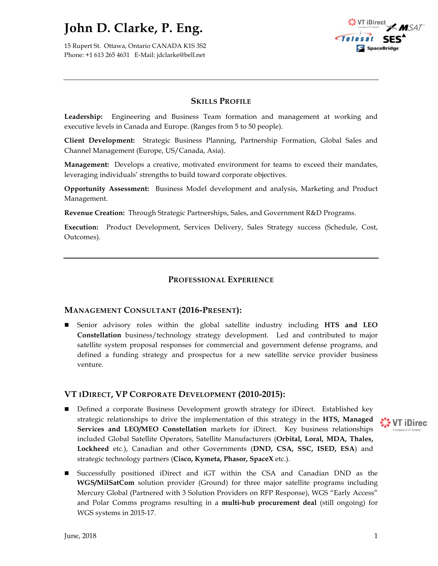15 Rupert St. Ottawa, Ontario CANADA K1S 3S2 Phone: +1 613 265 4631 E-Mail: jdclarke@bell.net



## **SKILLS PROFILE**

**Leadership:** Engineering and Business Team formation and management at working and executive levels in Canada and Europe. (Ranges from 5 to 50 people).

**Client Development:** Strategic Business Planning, Partnership Formation, Global Sales and Channel Management (Europe, US/Canada, Asia).

**Management:** Develops a creative, motivated environment for teams to exceed their mandates, leveraging individuals' strengths to build toward corporate objectives.

**Opportunity Assessment:** Business Model development and analysis, Marketing and Product Management.

**Revenue Creation:** Through Strategic Partnerships, Sales, and Government R&D Programs.

**Execution:** Product Development, Services Delivery, Sales Strategy success (Schedule, Cost, Outcomes).

## **PROFESSIONAL EXPERIENCE**

### **MANAGEMENT CONSULTANT (2016-PRESENT):**

n Senior advisory roles within the global satellite industry including **HTS and LEO Constellation** business/technology strategy development. Led and contributed to major satellite system proposal responses for commercial and government defense programs, and defined a funding strategy and prospectus for a new satellite service provider business venture.

### **VT IDIRECT, VP CORPORATE DEVELOPMENT (2010-2015):**

- Defined a corporate Business Development growth strategy for iDirect. Established key strategic relationships to drive the implementation of this strategy in the **HTS, Managed We VT iDirect Services and LEO/MEO Constellation** markets for iDirect. Key business relationships included Global Satellite Operators, Satellite Manufacturers (**Orbital, Loral, MDA, Thales, Lockheed** etc.), Canadian and other Governments (**DND, CSA, SSC, ISED, ESA**) and strategic technology partners (**Cisco, Kymeta, Phasor, SpaceX** etc.).
- n Successfully positioned iDirect and iGT within the CSA and Canadian DND as the **WGS/MilSatCom** solution provider (Ground) for three major satellite programs including Mercury Global (Partnered with 3 Solution Providers on RFP Response), WGS "Early Access" and Polar Comms programs resulting in a **multi-hub procurement deal** (still ongoing) for WGS systems in 2015-17.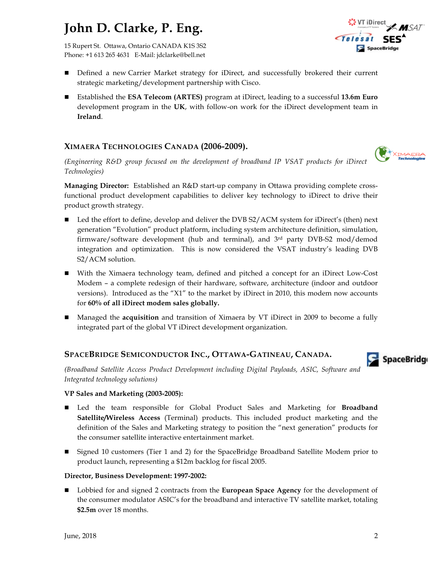15 Rupert St. Ottawa, Ontario CANADA K1S 3S2 Phone: +1 613 265 4631 E-Mail: jdclarke@bell.net

- Defined a new Carrier Market strategy for iDirect, and successfully brokered their current strategic marketing/development partnership with Cisco.
- Established the **ESA Telecom (ARTES)** program at iDirect, leading to a successful 13.6m Euro development program in the **UK**, with follow-on work for the iDirect development team in **Ireland**.

## **XIMAERA TECHNOLOGIES CANADA (2006-2009).**

*(Engineering R&D group focused on the development of broadband IP VSAT products for iDirect Technologies)*

**Managing Director:** Established an R&D start-up company in Ottawa providing complete crossfunctional product development capabilities to deliver key technology to iDirect to drive their product growth strategy.

- Led the effort to define, develop and deliver the DVB S2/ACM system for iDirect's (then) next generation "Evolution" product platform, including system architecture definition, simulation, firmware/software development (hub and terminal), and  $3<sup>rd</sup>$  party DVB-S2 mod/demod integration and optimization. This is now considered the VSAT industry's leading DVB S2/ACM solution.
- With the Ximaera technology team, defined and pitched a concept for an iDirect Low-Cost Modem – a complete redesign of their hardware, software, architecture (indoor and outdoor versions). Introduced as the "X1" to the market by iDirect in 2010, this modem now accounts for **60% of all iDirect modem sales globally.**
- Managed the **acquisition** and transition of Ximaera by VT iDirect in 2009 to become a fully integrated part of the global VT iDirect development organization.

## **SPACEBRIDGE SEMICONDUCTOR INC., OTTAWA-GATINEAU, CANADA.**

*(Broadband Satellite Access Product Development including Digital Payloads, ASIC, Software and Integrated technology solutions)*

### **VP Sales and Marketing (2003-2005):**

- n Led the team responsible for Global Product Sales and Marketing for **Broadband Satellite/Wireless Access** (Terminal) products. This included product marketing and the definition of the Sales and Marketing strategy to position the "next generation" products for the consumer satellite interactive entertainment market.
- Signed 10 customers (Tier 1 and 2) for the SpaceBridge Broadband Satellite Modem prior to product launch, representing a \$12m backlog for fiscal 2005.

### **Director, Business Development: 1997-2002:**

■ Lobbied for and signed 2 contracts from the **European Space Agency** for the development of the consumer modulator ASIC's for the broadband and interactive TV satellite market, totaling **\$2.5m** over 18 months.

**VT iDirect** SpaceBridge



SpaceBridge

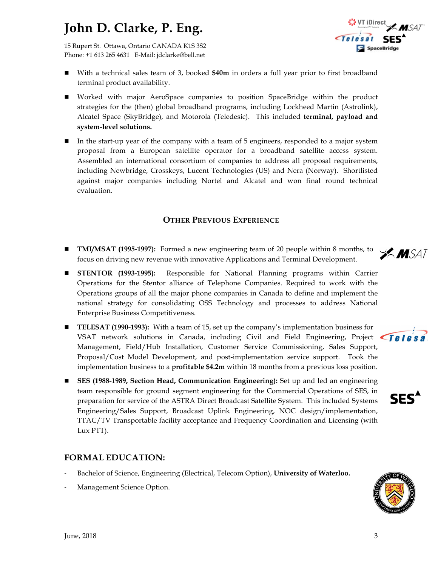15 Rupert St. Ottawa, Ontario CANADA K1S 3S2 Phone: +1 613 265 4631 E-Mail: jdclarke@bell.net

- With a technical sales team of 3, booked **\$40m** in orders a full year prior to first broadband terminal product availability.
- Worked with major AeroSpace companies to position SpaceBridge within the product strategies for the (then) global broadband programs, including Lockheed Martin (Astrolink), Alcatel Space (SkyBridge), and Motorola (Teledesic). This included **terminal, payload and system-level solutions.**
- In the start-up year of the company with a team of 5 engineers, responded to a major system proposal from a European satellite operator for a broadband satellite access system. Assembled an international consortium of companies to address all proposal requirements, including Newbridge, Crosskeys, Lucent Technologies (US) and Nera (Norway). Shortlisted against major companies including Nortel and Alcatel and won final round technical evaluation.

# **OTHER PREVIOUS EXPERIENCE**

- **n TMI/MSAT** (1995-1997): Formed a new engineering team of 20 people within 8 months, to  $\mathscr{A}$  MSAT focus on driving new revenue with innovative Applications and Terminal Development.
- n **STENTOR (1993-1995):** Responsible for National Planning programs within Carrier Operations for the Stentor alliance of Telephone Companies. Required to work with the Operations groups of all the major phone companies in Canada to define and implement the national strategy for consolidating OSS Technology and processes to address National Enterprise Business Competitiveness.
- **TELESAT** (1990-1993): With a team of 15, set up the company's implementation business for VSAT network solutions in Canada, including Civil and Field Engineering, Project  $\sqrt{\int \rho \int \rho} s \hat{p}}$ Management, Field/Hub Installation, Customer Service Commissioning, Sales Support, Proposal/Cost Model Development, and post-implementation service support. Took the implementation business to a **profitable \$4.2m** within 18 months from a previous loss position.
- **n SES (1988-1989, Section Head, Communication Engineering):** Set up and led an engineering team responsible for ground segment engineering for the Commercial Operations of SES, in preparation for service of the ASTRA Direct Broadcast Satellite System. This included Systems Engineering/Sales Support, Broadcast Uplink Engineering, NOC design/implementation, TTAC/TV Transportable facility acceptance and Frequency Coordination and Licensing (with Lux PTT).

## **FORMAL EDUCATION:**

- Bachelor of Science, Engineering (Electrical, Telecom Option), **University of Waterloo.**
- Management Science Option.